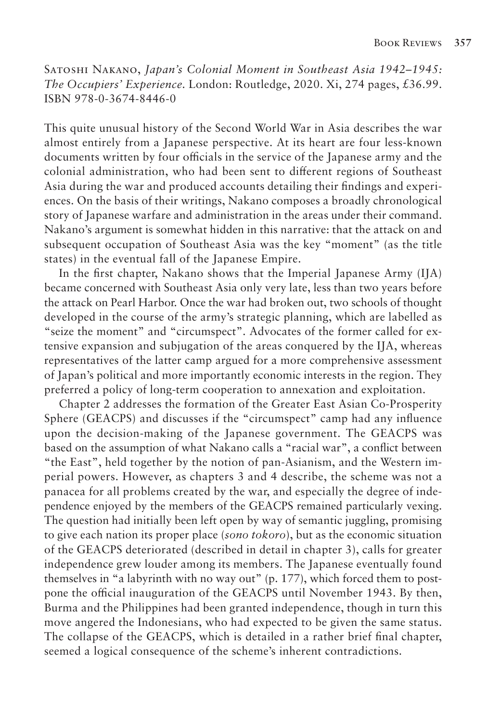Satoshi Nakano, *Japan's Colonial Moment in Southeast Asia 1942–1945: The Occupiers' Experience.* London: Routledge, 2020. Xi, 274 pages, £36.99. ISBN 978-0-3674-8446-0

This quite unusual history of the Second World War in Asia describes the war almost entirely from a Japanese perspective. At its heart are four less-known documents written by four officials in the service of the Japanese army and the colonial administration, who had been sent to different regions of Southeast Asia during the war and produced accounts detailing their findings and experiences. On the basis of their writings, Nakano composes a broadly chronological story of Japanese warfare and administration in the areas under their command. Nakano's argument is somewhat hidden in this narrative: that the attack on and subsequent occupation of Southeast Asia was the key "moment" (as the title states) in the eventual fall of the Japanese Empire.

In the first chapter, Nakano shows that the Imperial Japanese Army (IJA) became concerned with Southeast Asia only very late, less than two years before the attack on Pearl Harbor. Once the war had broken out, two schools of thought developed in the course of the army's strategic planning, which are labelled as "seize the moment" and "circumspect". Advocates of the former called for extensive expansion and subjugation of the areas conquered by the IJA, whereas representatives of the latter camp argued for a more comprehensive assessment of Japan's political and more importantly economic interests in the region. They preferred a policy of long-term cooperation to annexation and exploitation.

Chapter 2 addresses the formation of the Greater East Asian Co-Prosperity Sphere (GEACPS) and discusses if the "circumspect" camp had any influence upon the decision-making of the Japanese government. The GEACPS was based on the assumption of what Nakano calls a "racial war", a conflict between "the East", held together by the notion of pan-Asianism, and the Western imperial powers. However, as chapters 3 and 4 describe, the scheme was not a panacea for all problems created by the war, and especially the degree of independence enjoyed by the members of the GEACPS remained particularly vexing. The question had initially been left open by way of semantic juggling, promising to give each nation its proper place (*sono tokoro*), but as the economic situation of the GEACPS deteriorated (described in detail in chapter 3), calls for greater independence grew louder among its members. The Japanese eventually found themselves in "a labyrinth with no way out" (p. 177), which forced them to postpone the official inauguration of the GEACPS until November 1943. By then, Burma and the Philippines had been granted independence, though in turn this move angered the Indonesians, who had expected to be given the same status. The collapse of the GEACPS, which is detailed in a rather brief final chapter, seemed a logical consequence of the scheme's inherent contradictions.